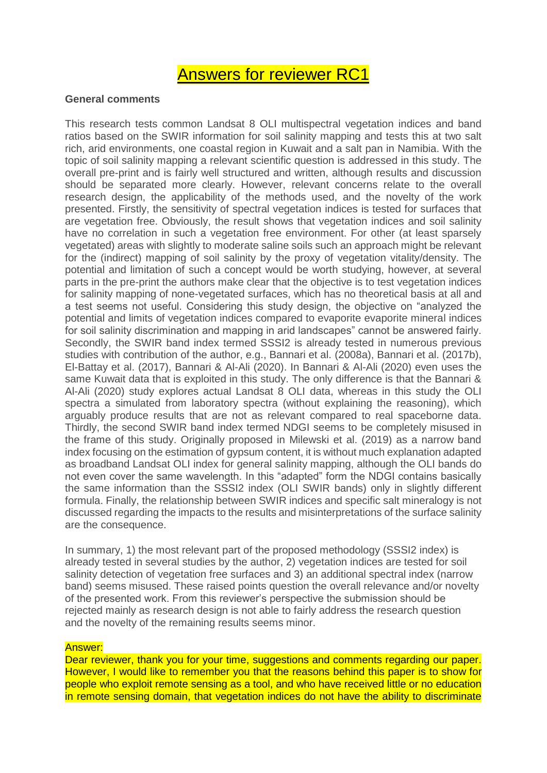# Answers for reviewer RC1

## **General comments**

This research tests common Landsat 8 OLI multispectral vegetation indices and band ratios based on the SWIR information for soil salinity mapping and tests this at two salt rich, arid environments, one coastal region in Kuwait and a salt pan in Namibia. With the topic of soil salinity mapping a relevant scientific question is addressed in this study. The overall pre-print and is fairly well structured and written, although results and discussion should be separated more clearly. However, relevant concerns relate to the overall research design, the applicability of the methods used, and the novelty of the work presented. Firstly, the sensitivity of spectral vegetation indices is tested for surfaces that are vegetation free. Obviously, the result shows that vegetation indices and soil salinity have no correlation in such a vegetation free environment. For other (at least sparsely vegetated) areas with slightly to moderate saline soils such an approach might be relevant for the (indirect) mapping of soil salinity by the proxy of vegetation vitality/density. The potential and limitation of such a concept would be worth studying, however, at several parts in the pre-print the authors make clear that the objective is to test vegetation indices for salinity mapping of none-vegetated surfaces, which has no theoretical basis at all and a test seems not useful. Considering this study design, the objective on "analyzed the potential and limits of vegetation indices compared to evaporite evaporite mineral indices for soil salinity discrimination and mapping in arid landscapes" cannot be answered fairly. Secondly, the SWIR band index termed SSSI2 is already tested in numerous previous studies with contribution of the author, e.g., Bannari et al. (2008a), Bannari et al. (2017b), El-Battay et al. (2017), Bannari & Al-Ali (2020). In Bannari & Al-Ali (2020) even uses the same Kuwait data that is exploited in this study. The only difference is that the Bannari & Al-Ali (2020) study explores actual Landsat 8 OLI data, whereas in this study the OLI spectra a simulated from laboratory spectra (without explaining the reasoning), which arguably produce results that are not as relevant compared to real spaceborne data. Thirdly, the second SWIR band index termed NDGI seems to be completely misused in the frame of this study. Originally proposed in Milewski et al. (2019) as a narrow band index focusing on the estimation of gypsum content, it is without much explanation adapted as broadband Landsat OLI index for general salinity mapping, although the OLI bands do not even cover the same wavelength. In this "adapted" form the NDGI contains basically the same information than the SSSI2 index (OLI SWIR bands) only in slightly different formula. Finally, the relationship between SWIR indices and specific salt mineralogy is not discussed regarding the impacts to the results and misinterpretations of the surface salinity are the consequence.

In summary, 1) the most relevant part of the proposed methodology (SSSI2 index) is already tested in several studies by the author, 2) vegetation indices are tested for soil salinity detection of vegetation free surfaces and 3) an additional spectral index (narrow band) seems misused. These raised points question the overall relevance and/or novelty of the presented work. From this reviewer's perspective the submission should be rejected mainly as research design is not able to fairly address the research question and the novelty of the remaining results seems minor.

## Answer:

Dear reviewer, thank you for your time, suggestions and comments regarding our paper. However, I would like to remember you that the reasons behind this paper is to show for people who exploit remote sensing as a tool, and who have received little or no education in remote sensing domain, that vegetation indices do not have the ability to discriminate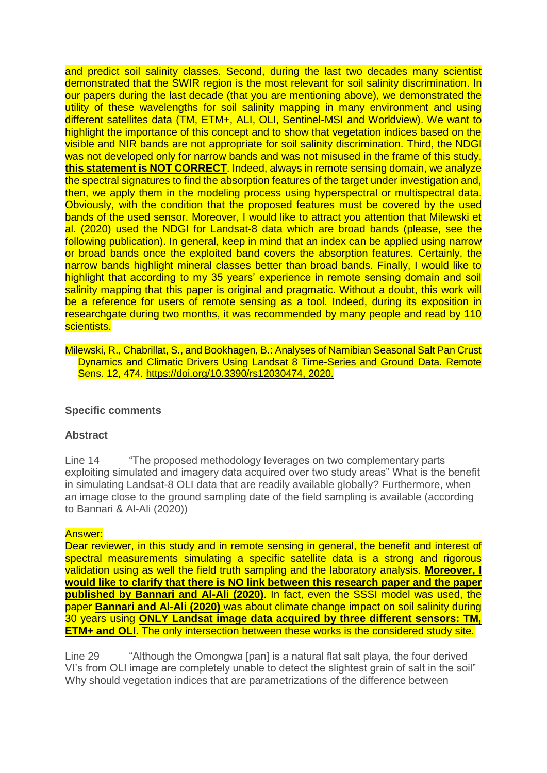and predict soil salinity classes. Second, during the last two decades many scientist demonstrated that the SWIR region is the most relevant for soil salinity discrimination. In our papers during the last decade (that you are mentioning above), we demonstrated the utility of these wavelengths for soil salinity mapping in many environment and using different satellites data (TM, ETM+, ALI, OLI, Sentinel-MSI and Worldview). We want to highlight the importance of this concept and to show that vegetation indices based on the visible and NIR bands are not appropriate for soil salinity discrimination. Third, the NDGI was not developed only for narrow bands and was not misused in the frame of this study. **this statement is NOT CORRECT**. Indeed, always in remote sensing domain, we analyze the spectral signatures to find the absorption features of the target under investigation and, then, we apply them in the modeling process using hyperspectral or multispectral data. Obviously, with the condition that the proposed features must be covered by the used bands of the used sensor. Moreover, I would like to attract you attention that Milewski et al. (2020) used the NDGI for Landsat-8 data which are broad bands (please, see the following publication). In general, keep in mind that an index can be applied using narrow or broad bands once the exploited band covers the absorption features. Certainly, the narrow bands highlight mineral classes better than broad bands. Finally, I would like to highlight that according to my 35 years' experience in remote sensing domain and soil salinity mapping that this paper is original and pragmatic. Without a doubt, this work will be a reference for users of remote sensing as a tool. Indeed, during its exposition in researchgate during two months, it was recommended by many people and read by 110 scientists.

Milewski, R., Chabrillat, S., and Bookhagen, B.: Analyses of Namibian Seasonal Salt Pan Crust Dynamics and Climatic Drivers Using Landsat 8 Time-Series and Ground Data. Remote Sens. 12, 474. [https://doi.org/10.3390/rs12030474,](https://doi.org/10.3390/rs12030474) 2020.

## **Specific comments**

#### **Abstract**

Line 14 "The proposed methodology leverages on two complementary parts exploiting simulated and imagery data acquired over two study areas" What is the benefit in simulating Landsat-8 OLI data that are readily available globally? Furthermore, when an image close to the ground sampling date of the field sampling is available (according to Bannari & Al-Ali (2020))

#### Answer:

Dear reviewer, in this study and in remote sensing in general, the benefit and interest of spectral measurements simulating a specific satellite data is a strong and rigorous validation using as well the field truth sampling and the laboratory analysis. **Moreover, I would like to clarify that there is NO link between this research paper and the paper published by Bannari and Al-Ali (2020)**. In fact, even the SSSI model was used, the paper **Bannari and Al-Ali (2020)** was about climate change impact on soil salinity during 30 years using **ONLY Landsat image data acquired by three different sensors: TM, ETM+ and OLI.** The only intersection between these works is the considered study site.

Line 29 "Although the Omongwa [pan] is a natural flat salt playa, the four derived VI's from OLI image are completely unable to detect the slightest grain of salt in the soil" Why should vegetation indices that are parametrizations of the difference between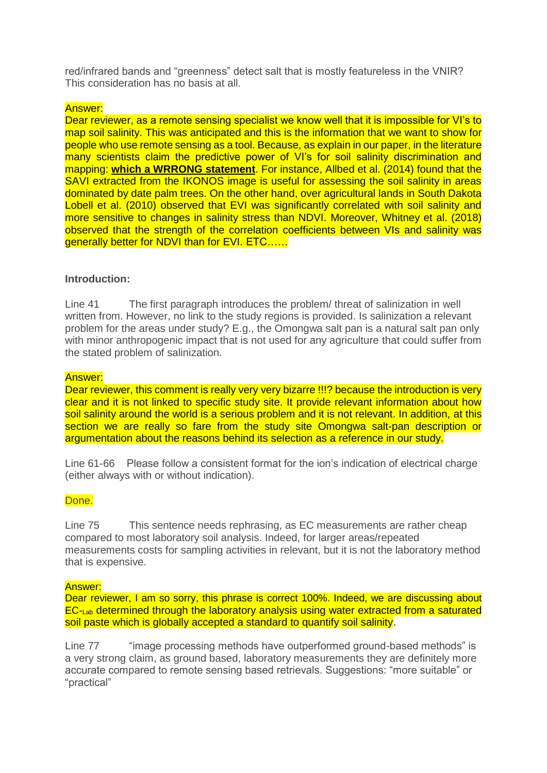red/infrared bands and "greenness" detect salt that is mostly featureless in the VNIR? This consideration has no basis at all.

## Answer:

Dear reviewer, as a remote sensing specialist we know well that it is impossible for VI's to map soil salinity. This was anticipated and this is the information that we want to show for people who use remote sensing as a tool. Because, as explain in our paper, in the literature many scientists claim the predictive power of VI's for soil salinity discrimination and mapping: **which a WRRONG statement**. For instance, Allbed et al. (2014) found that the SAVI extracted from the IKONOS image is useful for assessing the soil salinity in areas dominated by date palm trees. On the other hand, over agricultural lands in South Dakota Lobell et al. (2010) observed that EVI was significantly correlated with soil salinity and more sensitive to changes in salinity stress than NDVI. Moreover, Whitney et al. (2018) observed that the strength of the correlation coefficients between VIs and salinity was generally better for NDVI than for EVI. ETC……

## **Introduction:**

Line 41 The first paragraph introduces the problem/ threat of salinization in well written from. However, no link to the study regions is provided. Is salinization a relevant problem for the areas under study? E.g., the Omongwa salt pan is a natural salt pan only with minor anthropogenic impact that is not used for any agriculture that could suffer from the stated problem of salinization.

## Answer:

Dear reviewer, this comment is really very very bizarre !!!? because the introduction is very clear and it is not linked to specific study site. It provide relevant information about how soil salinity around the world is a serious problem and it is not relevant. In addition, at this section we are really so fare from the study site Omongwa salt-pan description or argumentation about the reasons behind its selection as a reference in our study.

Line 61-66 Please follow a consistent format for the ion's indication of electrical charge (either always with or without indication).

## Done.

Line 75 This sentence needs rephrasing, as EC measurements are rather cheap compared to most laboratory soil analysis. Indeed, for larger areas/repeated measurements costs for sampling activities in relevant, but it is not the laboratory method that is expensive.

## Answer:

Dear reviewer, I am so sorry, this phrase is correct 100%. Indeed, we are discussing about EC-Lab determined through the laboratory analysis using water extracted from a saturated soil paste which is globally accepted a standard to quantify soil salinity.

Line 77 "image processing methods have outperformed ground-based methods" is a very strong claim, as ground based, laboratory measurements they are definitely more accurate compared to remote sensing based retrievals. Suggestions: "more suitable" or "practical"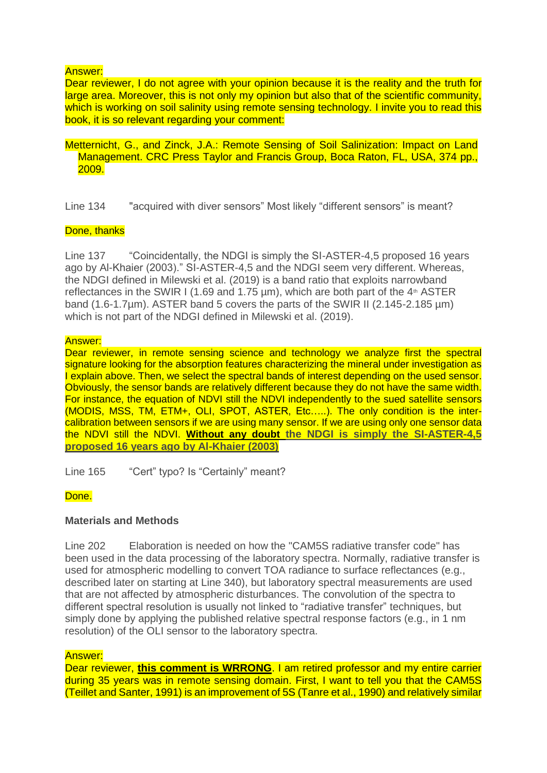## Answer:

Dear reviewer, I do not agree with your opinion because it is the reality and the truth for large area. Moreover, this is not only my opinion but also that of the scientific community, which is working on soil salinity using remote sensing technology. I invite you to read this book, it is so relevant regarding your comment:

#### Metternicht, G., and Zinck, J.A.: Remote Sensing of Soil Salinization: Impact on Land Management. CRC Press Taylor and Francis Group, Boca Raton, FL, USA, 374 pp., 2009.

Line 134 "acquired with diver sensors" Most likely "different sensors" is meant?

#### Done, thanks

Line 137 "Coincidentally, the NDGI is simply the SI-ASTER-4,5 proposed 16 years ago by Al-Khaier (2003)." SI-ASTER-4,5 and the NDGI seem very different. Whereas, the NDGI defined in Milewski et al. (2019) is a band ratio that exploits narrowband reflectances in the SWIR I (1.69 and 1.75  $\mu$ m), which are both part of the 4<sup>th</sup> ASTER band (1.6-1.7um). ASTER band 5 covers the parts of the SWIR II (2.145-2.185 um) which is not part of the NDGI defined in Milewski et al. (2019).

#### Answer:

Dear reviewer, in remote sensing science and technology we analyze first the spectral signature looking for the absorption features characterizing the mineral under investigation as I explain above. Then, we select the spectral bands of interest depending on the used sensor. Obviously, the sensor bands are relatively different because they do not have the same width. For instance, the equation of NDVI still the NDVI independently to the sued satellite sensors (MODIS, MSS, TM, ETM+, OLI, SPOT, ASTER, Etc…..). The only condition is the intercalibration between sensors if we are using many sensor. If we are using only one sensor data the NDVI still the NDVI. **Without any doubt the NDGI is simply the SI-ASTER-4,5 proposed 16 years ago by Al-Khaier (2003)**

Line 165 "Cert" typo? Is "Certainly" meant?

## Done.

## **Materials and Methods**

Line 202 Elaboration is needed on how the "CAM5S radiative transfer code" has been used in the data processing of the laboratory spectra. Normally, radiative transfer is used for atmospheric modelling to convert TOA radiance to surface reflectances (e.g., described later on starting at Line 340), but laboratory spectral measurements are used that are not affected by atmospheric disturbances. The convolution of the spectra to different spectral resolution is usually not linked to "radiative transfer" techniques, but simply done by applying the published relative spectral response factors (e.g., in 1 nm resolution) of the OLI sensor to the laboratory spectra.

#### Answer:

Dear reviewer, **this comment is WRRONG**. I am retired professor and my entire carrier during 35 years was in remote sensing domain. First, I want to tell you that the CAM5S (Teillet and Santer, 1991) is an improvement of 5S (Tanre et al., 1990) and relatively similar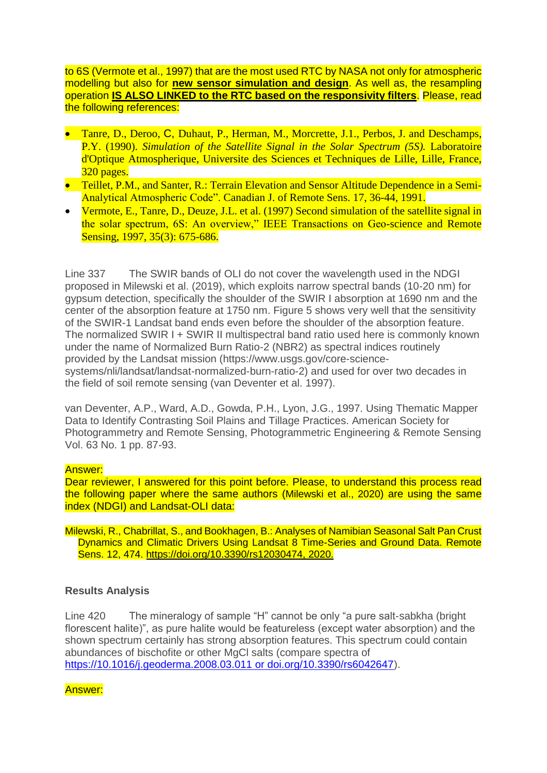to 6S (Vermote et al., 1997) that are the most used RTC by NASA not only for atmospheric modelling but also for **new sensor simulation and design**. As well as, the resampling operation **IS ALSO LINKED to the RTC based on the responsivity filters**. Please, read the following references:

- **Tanre, D., Deroo, C. Duhaut, P., Herman, M., Morcrette, J.1., Perbos, J. and Deschamps,** P.Y. (1990). *Simulation of the Satellite Signal in the Solar Spectrum (5S).* Laboratoire d'Optique Atmospherique, Universite des Sciences et Techniques de Lille, Lille, France, 320 pages.
- Teillet, P.M., and Santer, R.: Terrain Elevation and Sensor Altitude Dependence in a Semi-Analytical Atmospheric Code". Canadian J. of Remote Sens. 17, 36-44, 1991.
- Vermote, E., Tanre, D., Deuze, J.L. et al. (1997) Second simulation of the satellite signal in the solar spectrum, 6S: An overview," IEEE Transactions on Geo-science and Remote Sensing, 1997, 35(3): 675-686.

Line 337 The SWIR bands of OLI do not cover the wavelength used in the NDGI proposed in Milewski et al. (2019), which exploits narrow spectral bands (10-20 nm) for gypsum detection, specifically the shoulder of the SWIR I absorption at 1690 nm and the center of the absorption feature at 1750 nm. Figure 5 shows very well that the sensitivity of the SWIR-1 Landsat band ends even before the shoulder of the absorption feature. The normalized SWIR I + SWIR II multispectral band ratio used here is commonly known under the name of Normalized Burn Ratio-2 (NBR2) as spectral indices routinely provided by the Landsat mission (https://www.usgs.gov/core-sciencesystems/nli/landsat/landsat-normalized-burn-ratio-2) and used for over two decades in the field of soil remote sensing (van Deventer et al. 1997).

van Deventer, A.P., Ward, A.D., Gowda, P.H., Lyon, J.G., 1997. Using Thematic Mapper Data to Identify Contrasting Soil Plains and Tillage Practices. American Society for Photogrammetry and Remote Sensing, Photogrammetric Engineering & Remote Sensing Vol. 63 No. 1 pp. 87-93.

## Answer:

Dear reviewer, I answered for this point before. Please, to understand this process read the following paper where the same authors (Milewski et al., 2020) are using the same index (NDGI) and Landsat-OLI data:

Milewski, R., Chabrillat, S., and Bookhagen, B.: Analyses of Namibian Seasonal Salt Pan Crust Dynamics and Climatic Drivers Using Landsat 8 Time-Series and Ground Data. Remote Sens. 12, 474. [https://doi.org/10.3390/rs12030474,](https://doi.org/10.3390/rs12030474) 2020.

## **Results Analysis**

Line 420 The mineralogy of sample "H" cannot be only "a pure salt-sabkha (bright florescent halite)", as pure halite would be featureless (except water absorption) and the shown spectrum certainly has strong absorption features. This spectrum could contain abundances of bischofite or other MgCl salts (compare spectra of [https://10.1016/j.geoderma.2008.03.011 or doi.org/10.3390/rs6042647\)](https://10.0.3.248/j.geoderma.2008.03.011%20or%20doi.org/10.3390/rs6042647).

Answer: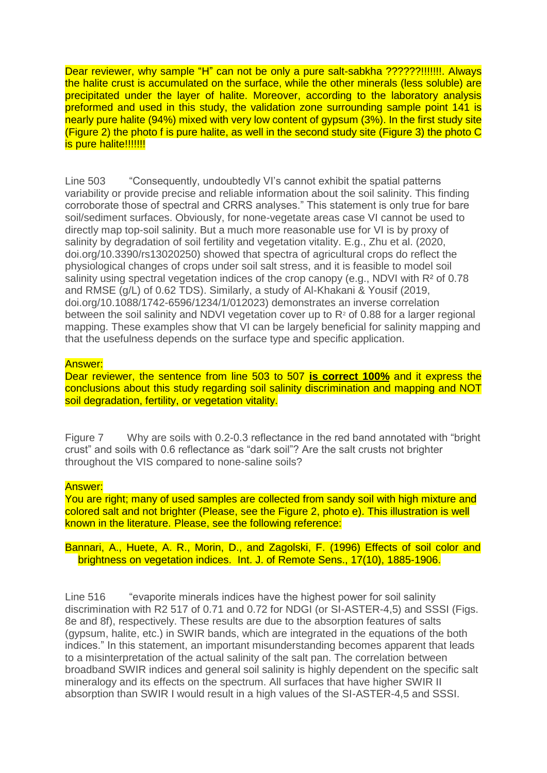Dear reviewer, why sample "H" can not be only a pure salt-sabkha ??????!!!!!!!!. Always the halite crust is accumulated on the surface, while the other minerals (less soluble) are precipitated under the layer of halite. Moreover, according to the laboratory analysis preformed and used in this study, the validation zone surrounding sample point 141 is nearly pure halite (94%) mixed with very low content of gypsum (3%). In the first study site (Figure 2) the photo f is pure halite, as well in the second study site (Figure 3) the photo C is pure halite!!!!!!!

Line 503 "Consequently, undoubtedly VI's cannot exhibit the spatial patterns variability or provide precise and reliable information about the soil salinity. This finding corroborate those of spectral and CRRS analyses." This statement is only true for bare soil/sediment surfaces. Obviously, for none-vegetate areas case VI cannot be used to directly map top-soil salinity. But a much more reasonable use for VI is by proxy of salinity by degradation of soil fertility and vegetation vitality. E.g., Zhu et al. (2020, doi.org/10.3390/rs13020250) showed that spectra of agricultural crops do reflect the physiological changes of crops under soil salt stress, and it is feasible to model soil salinity using spectral vegetation indices of the crop canopy (e.g., NDVI with  $R<sup>2</sup>$  of 0.78 and RMSE (g/L) of 0.62 TDS). Similarly, a study of Al-Khakani & Yousif (2019, doi.org/10.1088/1742-6596/1234/1/012023) demonstrates an inverse correlation between the soil salinity and NDVI vegetation cover up to  $R<sup>2</sup>$  of 0.88 for a larger regional mapping. These examples show that VI can be largely beneficial for salinity mapping and that the usefulness depends on the surface type and specific application.

#### Answer:

Dear reviewer, the sentence from line 503 to 507 **is correct 100%** and it express the conclusions about this study regarding soil salinity discrimination and mapping and NOT soil degradation, fertility, or vegetation vitality.

Figure 7 Why are soils with 0.2-0.3 reflectance in the red band annotated with "bright crust" and soils with 0.6 reflectance as "dark soil"? Are the salt crusts not brighter throughout the VIS compared to none-saline soils?

#### Answer:

You are right; many of used samples are collected from sandy soil with high mixture and colored salt and not brighter (Please, see the Figure 2, photo e). This illustration is well known in the literature. Please, see the following reference:

Bannari, A., Huete, A. R., Morin, D., and Zagolski, F. (1996) Effects of soil color and brightness on vegetation indices. Int. J. of Remote Sens., 17(10), 1885-1906.

Line 516 "evaporite minerals indices have the highest power for soil salinity discrimination with R2 517 of 0.71 and 0.72 for NDGI (or SI-ASTER-4,5) and SSSI (Figs. 8e and 8f), respectively. These results are due to the absorption features of salts (gypsum, halite, etc.) in SWIR bands, which are integrated in the equations of the both indices." In this statement, an important misunderstanding becomes apparent that leads to a misinterpretation of the actual salinity of the salt pan. The correlation between broadband SWIR indices and general soil salinity is highly dependent on the specific salt mineralogy and its effects on the spectrum. All surfaces that have higher SWIR II absorption than SWIR I would result in a high values of the SI-ASTER-4,5 and SSSI.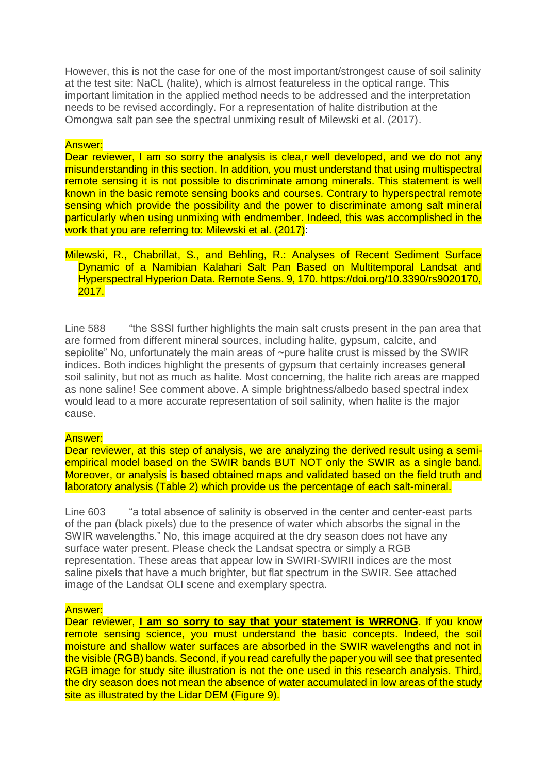However, this is not the case for one of the most important/strongest cause of soil salinity at the test site: NaCL (halite), which is almost featureless in the optical range. This important limitation in the applied method needs to be addressed and the interpretation needs to be revised accordingly. For a representation of halite distribution at the Omongwa salt pan see the spectral unmixing result of Milewski et al. (2017).

## Answer:

Dear reviewer, I am so sorry the analysis is clea,r well developed, and we do not any misunderstanding in this section. In addition, you must understand that using multispectral remote sensing it is not possible to discriminate among minerals. This statement is well known in the basic remote sensing books and courses. Contrary to hyperspectral remote sensing which provide the possibility and the power to discriminate among salt mineral particularly when using unmixing with endmember. Indeed, this was accomplished in the work that you are referring to: Milewski et al. (2017):

Milewski, R., Chabrillat, S., and Behling, R.: Analyses of Recent Sediment Surface Dynamic of a Namibian Kalahari Salt Pan Based on Multitemporal Landsat and Hyperspectral Hyperion Data. Remote Sens. 9, 170. [https://doi.org/10.3390/rs9020170,](https://doi.org/10.3390/rs9020170) 2017.

Line 588 "the SSSI further highlights the main salt crusts present in the pan area that are formed from different mineral sources, including halite, gypsum, calcite, and sepiolite" No, unfortunately the main areas of ~pure halite crust is missed by the SWIR indices. Both indices highlight the presents of gypsum that certainly increases general soil salinity, but not as much as halite. Most concerning, the halite rich areas are mapped as none saline! See comment above. A simple brightness/albedo based spectral index would lead to a more accurate representation of soil salinity, when halite is the major cause.

## Answer:

Dear reviewer, at this step of analysis, we are analyzing the derived result using a semiempirical model based on the SWIR bands BUT NOT only the SWIR as a single band. Moreover, or analysis is based obtained maps and validated based on the field truth and laboratory analysis (Table 2) which provide us the percentage of each salt-mineral.

Line 603 "a total absence of salinity is observed in the center and center-east parts of the pan (black pixels) due to the presence of water which absorbs the signal in the SWIR wavelengths." No, this image acquired at the dry season does not have any surface water present. Please check the Landsat spectra or simply a RGB representation. These areas that appear low in SWIRI-SWIRII indices are the most saline pixels that have a much brighter, but flat spectrum in the SWIR. See attached image of the Landsat OLI scene and exemplary spectra.

## Answer:

Dear reviewer, **I am so sorry to say that your statement is WRRONG**. If you know remote sensing science, you must understand the basic concepts. Indeed, the soil moisture and shallow water surfaces are absorbed in the SWIR wavelengths and not in the visible (RGB) bands. Second, if you read carefully the paper you will see that presented RGB image for study site illustration is not the one used in this research analysis. Third, the dry season does not mean the absence of water accumulated in low areas of the study site as illustrated by the Lidar DEM (Figure 9).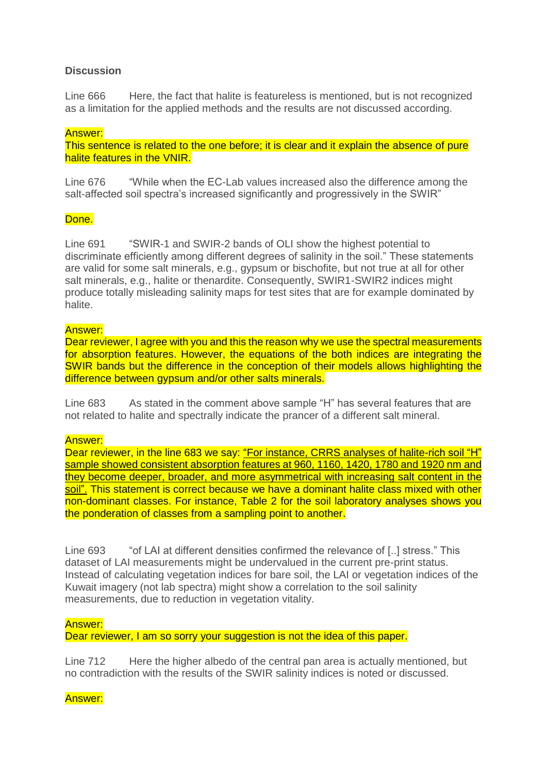# **Discussion**

Line 666 Here, the fact that halite is featureless is mentioned, but is not recognized as a limitation for the applied methods and the results are not discussed according.

## Answer:

This sentence is related to the one before; it is clear and it explain the absence of pure halite features in the VNIR.

Line 676 "While when the EC-Lab values increased also the difference among the salt-affected soil spectra's increased significantly and progressively in the SWIR"

# Done.

Line 691 "SWIR-1 and SWIR-2 bands of OLI show the highest potential to discriminate efficiently among different degrees of salinity in the soil." These statements are valid for some salt minerals, e.g., gypsum or bischofite, but not true at all for other salt minerals, e.g., halite or thenardite. Consequently, SWIR1-SWIR2 indices might produce totally misleading salinity maps for test sites that are for example dominated by halite.

#### Answer:

Dear reviewer, I agree with you and this the reason why we use the spectral measurements for absorption features. However, the equations of the both indices are integrating the SWIR bands but the difference in the conception of their models allows highlighting the difference between gypsum and/or other salts minerals.

Line 683 As stated in the comment above sample "H" has several features that are not related to halite and spectrally indicate the prancer of a different salt mineral.

#### Answer:

Dear reviewer, in the line 683 we say: "For instance, CRRS analyses of halite-rich soil "H" sample showed consistent absorption features at 960, 1160, 1420, 1780 and 1920 nm and they become deeper, broader, and more asymmetrical with increasing salt content in the soil". This statement is correct because we have a dominant halite class mixed with other non-dominant classes. For instance, Table 2 for the soil laboratory analyses shows you the ponderation of classes from a sampling point to another.

Line 693 "of LAI at different densities confirmed the relevance of [..] stress." This dataset of LAI measurements might be undervalued in the current pre-print status. Instead of calculating vegetation indices for bare soil, the LAI or vegetation indices of the Kuwait imagery (not lab spectra) might show a correlation to the soil salinity measurements, due to reduction in vegetation vitality.

## Answer:

Dear reviewer, I am so sorry your suggestion is not the idea of this paper.

Line 712 Here the higher albedo of the central pan area is actually mentioned, but no contradiction with the results of the SWIR salinity indices is noted or discussed.

Answer: